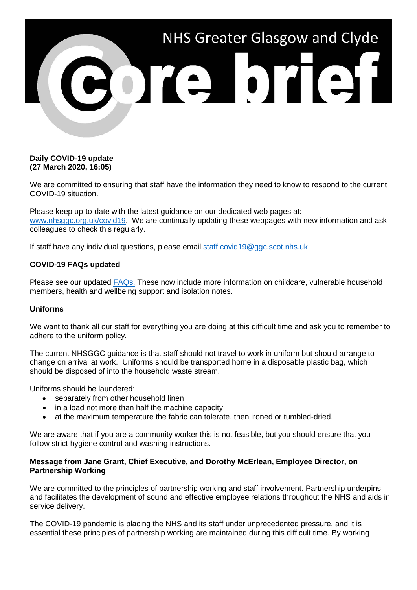

# **Daily COVID-19 update (27 March 2020, 16:05)**

We are committed to ensuring that staff have the information they need to know to respond to the current COVID-19 situation.

Please keep up-to-date with the latest guidance on our dedicated web pages at: [www.nhsggc.org.uk/covid19.](http://www.nhsggc.org.uk/covid19) We are continually updating these webpages with new information and ask colleagues to check this regularly.

If staff have any individual questions, please email [staff.covid19@ggc.scot.nhs.uk](mailto:staff.covid19@ggc.scot.nhs.uk)

### **COVID-19 FAQs updated**

Please see our updated [FAQs.](https://www.nhsggc.org.uk/your-health/health-issues/covid-19-coronavirus/for-nhsggc-staff/faqs/) These now include more information on childcare, vulnerable household members, health and wellbeing support and isolation notes.

#### **Uniforms**

We want to thank all our staff for everything you are doing at this difficult time and ask you to remember to adhere to the uniform policy.

The current NHSGGC guidance is that staff should not travel to work in uniform but should arrange to change on arrival at work. Uniforms should be transported home in a disposable plastic bag, which should be disposed of into the household waste stream.

Uniforms should be laundered:

- separately from other household linen
- in a load not more than half the machine capacity
- at the maximum temperature the fabric can tolerate, then ironed or tumbled-dried.

We are aware that if you are a community worker this is not feasible, but you should ensure that you follow strict hygiene control and washing instructions.

### **Message from Jane Grant, Chief Executive, and Dorothy McErlean, Employee Director, on Partnership Working**

We are committed to the principles of partnership working and staff involvement. Partnership underpins and facilitates the development of sound and effective employee relations throughout the NHS and aids in service delivery.

The COVID-19 pandemic is placing the NHS and its staff under unprecedented pressure, and it is essential these principles of partnership working are maintained during this difficult time. By working